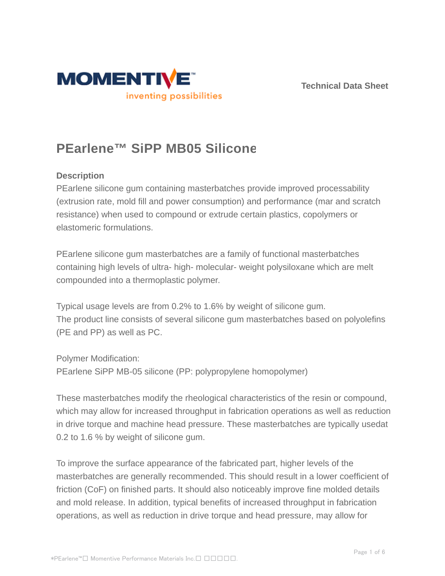



# **PEarlene™ SiPP MB05 Silicone**

# **Description**

PEarlene silicone gum containing masterbatches provide improved processability (extrusion rate, mold fill and power consumption) and performance (mar and scratch resistance) when used to compound or extrude certain plastics, copolymers or elastomeric formulations.

PEarlene silicone gum masterbatches are a family of functional masterbatches containing high levels of ultra- high- molecular- weight polysiloxane which are melt compounded into a thermoplastic polymer.

Typical usage levels are from 0.2% to 1.6% by weight of silicone gum. The product line consists of several silicone gum masterbatches based on polyolefins (PE and PP) as well as PC.

Polymer Modification: PEarlene SiPP MB-05 silicone (PP: polypropylene homopolymer)

These masterbatches modify the rheological characteristics of the resin or compound, which may allow for increased throughput in fabrication operations as well as reduction in drive torque and machine head pressure. These masterbatches are typically usedat 0.2 to 1.6 % by weight of silicone gum.

To improve the surface appearance of the fabricated part, higher levels of the masterbatches are generally recommended. This should result in a lower coefficient of friction (CoF) on finished parts. It should also noticeably improve fine molded details and mold release. In addition, typical benefits of increased throughput in fabrication operations, as well as reduction in drive torque and head pressure, may allow for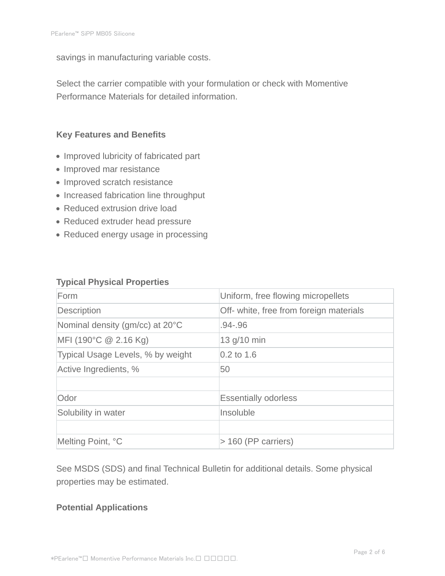savings in manufacturing variable costs.

Select the carrier compatible with your formulation or check with Momentive Performance Materials for detailed information.

### **Key Features and Benefits**

- Improved lubricity of fabricated part
- Improved mar resistance
- Improved scratch resistance
- Increased fabrication line throughput
- Reduced extrusion drive load
- Reduced extruder head pressure
- Reduced energy usage in processing

#### **Typical Physical Properties**

| Form                              | Uniform, free flowing micropellets      |  |
|-----------------------------------|-----------------------------------------|--|
| Description                       | Off- white, free from foreign materials |  |
| Nominal density (gm/cc) at 20°C   | $.94 - .96$                             |  |
| MFI (190°C $@$ 2.16 Kg)           | 13 g/10 min                             |  |
| Typical Usage Levels, % by weight | $0.2$ to 1.6                            |  |
| Active Ingredients, %             | 50                                      |  |
|                                   |                                         |  |
| Odor                              | <b>Essentially odorless</b>             |  |
| Solubility in water               | Insoluble                               |  |
|                                   |                                         |  |
| Melting Point, °C                 | $>$ 160 (PP carriers)                   |  |

See MSDS (SDS) and final Technical Bulletin for additional details. Some physical properties may be estimated.

#### **Potential Applications**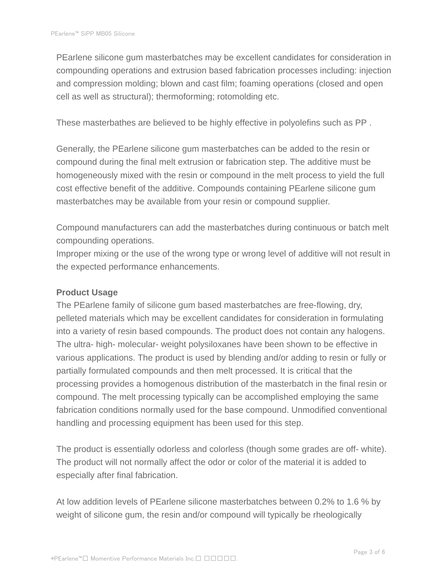PEarlene silicone gum masterbatches may be excellent candidates for consideration in compounding operations and extrusion based fabrication processes including: injection and compression molding; blown and cast film; foaming operations (closed and open cell as well as structural); thermoforming; rotomolding etc.

These masterbathes are believed to be highly effective in polyolefins such as PP .

Generally, the PEarlene silicone gum masterbatches can be added to the resin or compound during the final melt extrusion or fabrication step. The additive must be homogeneously mixed with the resin or compound in the melt process to yield the full cost effective benefit of the additive. Compounds containing PEarlene silicone gum masterbatches may be available from your resin or compound supplier.

Compound manufacturers can add the masterbatches during continuous or batch melt compounding operations.

Improper mixing or the use of the wrong type or wrong level of additive will not result in the expected performance enhancements.

#### **Product Usage**

The PEarlene family of silicone gum based masterbatches are free-flowing, dry, pelleted materials which may be excellent candidates for consideration in formulating into a variety of resin based compounds. The product does not contain any halogens. The ultra- high- molecular- weight polysiloxanes have been shown to be effective in various applications. The product is used by blending and/or adding to resin or fully or partially formulated compounds and then melt processed. It is critical that the processing provides a homogenous distribution of the masterbatch in the final resin or compound. The melt processing typically can be accomplished employing the same fabrication conditions normally used for the base compound. Unmodified conventional handling and processing equipment has been used for this step.

The product is essentially odorless and colorless (though some grades are off- white). The product will not normally affect the odor or color of the material it is added to especially after final fabrication.

At low addition levels of PEarlene silicone masterbatches between 0.2% to 1.6 % by weight of silicone gum, the resin and/or compound will typically be rheologically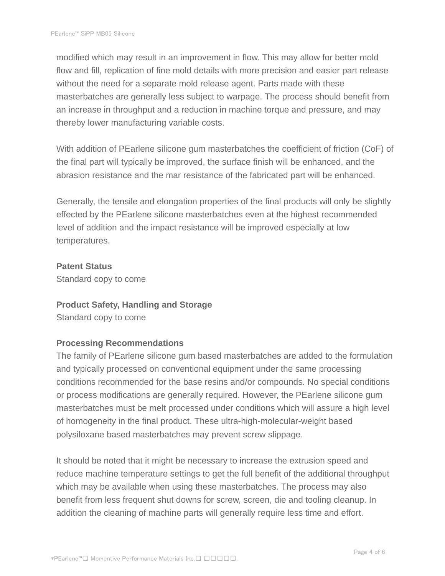modified which may result in an improvement in flow. This may allow for better mold flow and fill, replication of fine mold details with more precision and easier part release without the need for a separate mold release agent. Parts made with these masterbatches are generally less subject to warpage. The process should benefit from an increase in throughput and a reduction in machine torque and pressure, and may thereby lower manufacturing variable costs.

With addition of PEarlene silicone gum masterbatches the coefficient of friction (CoF) of the final part will typically be improved, the surface finish will be enhanced, and the abrasion resistance and the mar resistance of the fabricated part will be enhanced.

Generally, the tensile and elongation properties of the final products will only be slightly effected by the PEarlene silicone masterbatches even at the highest recommended level of addition and the impact resistance will be improved especially at low temperatures.

#### **Patent Status**

Standard copy to come

#### **Product Safety, Handling and Storage**

Standard copy to come

# **Processing Recommendations**

The family of PEarlene silicone gum based masterbatches are added to the formulation and typically processed on conventional equipment under the same processing conditions recommended for the base resins and/or compounds. No special conditions or process modifications are generally required. However, the PEarlene silicone gum masterbatches must be melt processed under conditions which will assure a high level of homogeneity in the final product. These ultra-high-molecular-weight based polysiloxane based masterbatches may prevent screw slippage.

It should be noted that it might be necessary to increase the extrusion speed and reduce machine temperature settings to get the full benefit of the additional throughput which may be available when using these masterbatches. The process may also benefit from less frequent shut downs for screw, screen, die and tooling cleanup. In addition the cleaning of machine parts will generally require less time and effort.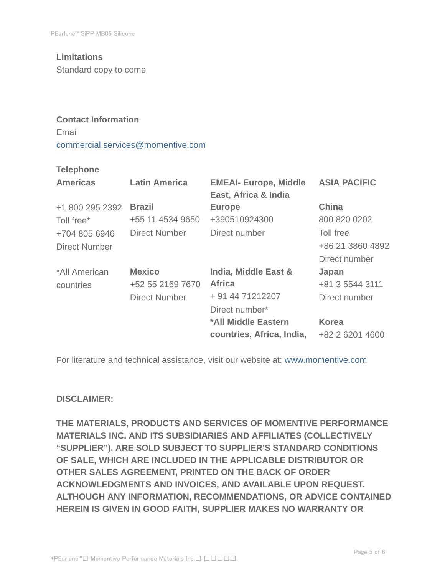# **Limitations**

Standard copy to come

# **Contact Information** Email commercial.services@momentive.com

#### **Telephone**

| <b>Americas</b>      | <b>Latin America</b> | <b>EMEAI- Europe, Middle</b><br>East, Africa & India | <b>ASIA PACIFIC</b> |
|----------------------|----------------------|------------------------------------------------------|---------------------|
| +1 800 295 2392      | <b>Brazil</b>        | <b>Europe</b>                                        | <b>China</b>        |
| Toll free*           | +55 11 4534 9650     | +390510924300                                        | 800 820 0202        |
| +704 805 6946        | <b>Direct Number</b> | Direct number                                        | Toll free           |
| <b>Direct Number</b> |                      |                                                      | +86 21 3860 4892    |
|                      |                      |                                                      | Direct number       |
| *All American        | <b>Mexico</b>        | India, Middle East &                                 | Japan               |
| countries            | +52 55 2169 7670     | <b>Africa</b>                                        | +81 3 5544 3111     |
|                      | <b>Direct Number</b> | + 91 44 71212207                                     | Direct number       |
|                      |                      | Direct number*                                       |                     |
|                      |                      | *All Middle Eastern                                  | <b>Korea</b>        |
|                      |                      | countries, Africa, India,                            | +82 2 6201 4600     |

For literature and technical assistance, visit our website at: www.momentive.com

#### **DISCLAIMER:**

**THE MATERIALS, PRODUCTS AND SERVICES OF MOMENTIVE PERFORMANCE MATERIALS INC. AND ITS SUBSIDIARIES AND AFFILIATES (COLLECTIVELY "SUPPLIER"), ARE SOLD SUBJECT TO SUPPLIER'S STANDARD CONDITIONS OF SALE, WHICH ARE INCLUDED IN THE APPLICABLE DISTRIBUTOR OR OTHER SALES AGREEMENT, PRINTED ON THE BACK OF ORDER ACKNOWLEDGMENTS AND INVOICES, AND AVAILABLE UPON REQUEST. ALTHOUGH ANY INFORMATION, RECOMMENDATIONS, OR ADVICE CONTAINED HEREIN IS GIVEN IN GOOD FAITH, SUPPLIER MAKES NO WARRANTY OR**